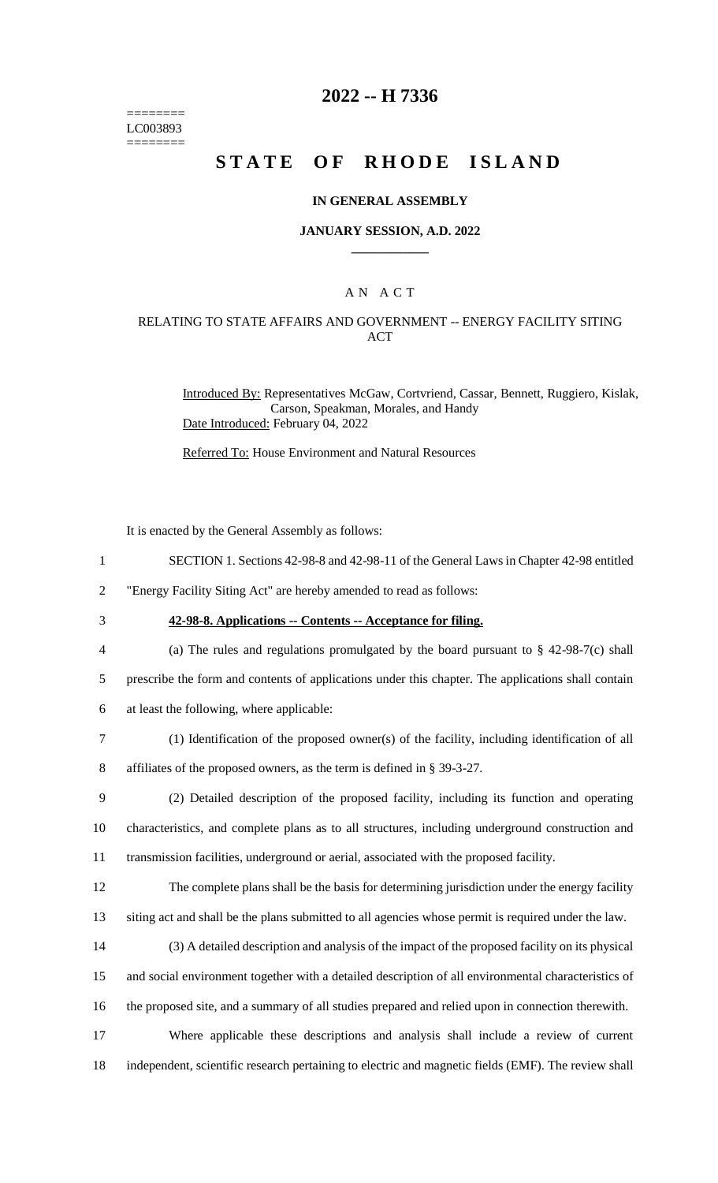======== LC003893 ========

# **2022 -- H 7336**

# **STATE OF RHODE ISLAND**

### **IN GENERAL ASSEMBLY**

#### **JANUARY SESSION, A.D. 2022 \_\_\_\_\_\_\_\_\_\_\_\_**

## A N A C T

### RELATING TO STATE AFFAIRS AND GOVERNMENT -- ENERGY FACILITY SITING ACT

Introduced By: Representatives McGaw, Cortvriend, Cassar, Bennett, Ruggiero, Kislak, Carson, Speakman, Morales, and Handy Date Introduced: February 04, 2022

Referred To: House Environment and Natural Resources

It is enacted by the General Assembly as follows:

1 SECTION 1. Sections 42-98-8 and 42-98-11 of the General Laws in Chapter 42-98 entitled

2 "Energy Facility Siting Act" are hereby amended to read as follows:

3 **42-98-8. Applications -- Contents -- Acceptance for filing.**

4 (a) The rules and regulations promulgated by the board pursuant to § 42-98-7(c) shall 5 prescribe the form and contents of applications under this chapter. The applications shall contain

6 at least the following, where applicable:

7 (1) Identification of the proposed owner(s) of the facility, including identification of all

8 affiliates of the proposed owners, as the term is defined in § 39-3-27.

9 (2) Detailed description of the proposed facility, including its function and operating 10 characteristics, and complete plans as to all structures, including underground construction and 11 transmission facilities, underground or aerial, associated with the proposed facility.

12 The complete plans shall be the basis for determining jurisdiction under the energy facility

13 siting act and shall be the plans submitted to all agencies whose permit is required under the law.

14 (3) A detailed description and analysis of the impact of the proposed facility on its physical

15 and social environment together with a detailed description of all environmental characteristics of

16 the proposed site, and a summary of all studies prepared and relied upon in connection therewith.

17 Where applicable these descriptions and analysis shall include a review of current 18 independent, scientific research pertaining to electric and magnetic fields (EMF). The review shall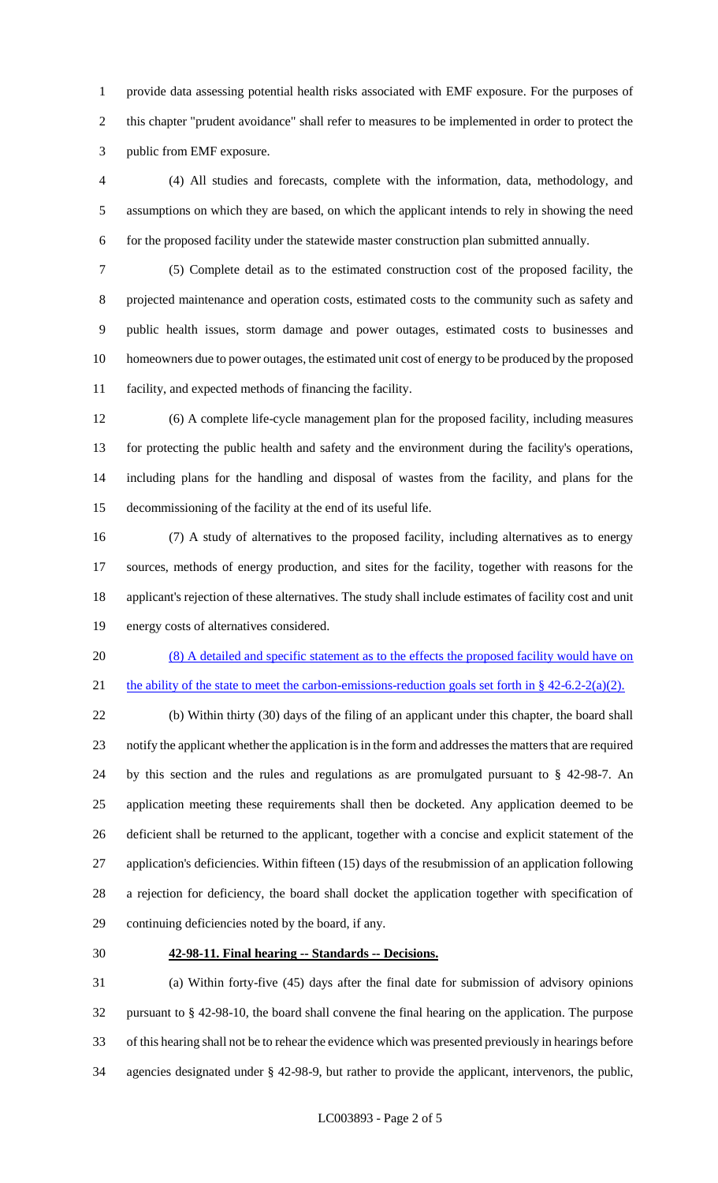provide data assessing potential health risks associated with EMF exposure. For the purposes of this chapter "prudent avoidance" shall refer to measures to be implemented in order to protect the public from EMF exposure.

 (4) All studies and forecasts, complete with the information, data, methodology, and assumptions on which they are based, on which the applicant intends to rely in showing the need for the proposed facility under the statewide master construction plan submitted annually.

 (5) Complete detail as to the estimated construction cost of the proposed facility, the projected maintenance and operation costs, estimated costs to the community such as safety and public health issues, storm damage and power outages, estimated costs to businesses and homeowners due to power outages, the estimated unit cost of energy to be produced by the proposed facility, and expected methods of financing the facility.

 (6) A complete life-cycle management plan for the proposed facility, including measures for protecting the public health and safety and the environment during the facility's operations, including plans for the handling and disposal of wastes from the facility, and plans for the decommissioning of the facility at the end of its useful life.

 (7) A study of alternatives to the proposed facility, including alternatives as to energy sources, methods of energy production, and sites for the facility, together with reasons for the applicant's rejection of these alternatives. The study shall include estimates of facility cost and unit energy costs of alternatives considered.

 (8) A detailed and specific statement as to the effects the proposed facility would have on 21 the ability of the state to meet the carbon-emissions-reduction goals set forth in  $\S$  42-6.2-2(a)(2).

 (b) Within thirty (30) days of the filing of an applicant under this chapter, the board shall notify the applicant whether the application is in the form and addresses the matters that are required by this section and the rules and regulations as are promulgated pursuant to § 42-98-7. An application meeting these requirements shall then be docketed. Any application deemed to be deficient shall be returned to the applicant, together with a concise and explicit statement of the application's deficiencies. Within fifteen (15) days of the resubmission of an application following a rejection for deficiency, the board shall docket the application together with specification of continuing deficiencies noted by the board, if any.

### **42-98-11. Final hearing -- Standards -- Decisions.**

 (a) Within forty-five (45) days after the final date for submission of advisory opinions pursuant to § 42-98-10, the board shall convene the final hearing on the application. The purpose of this hearing shall not be to rehear the evidence which was presented previously in hearings before agencies designated under § 42-98-9, but rather to provide the applicant, intervenors, the public,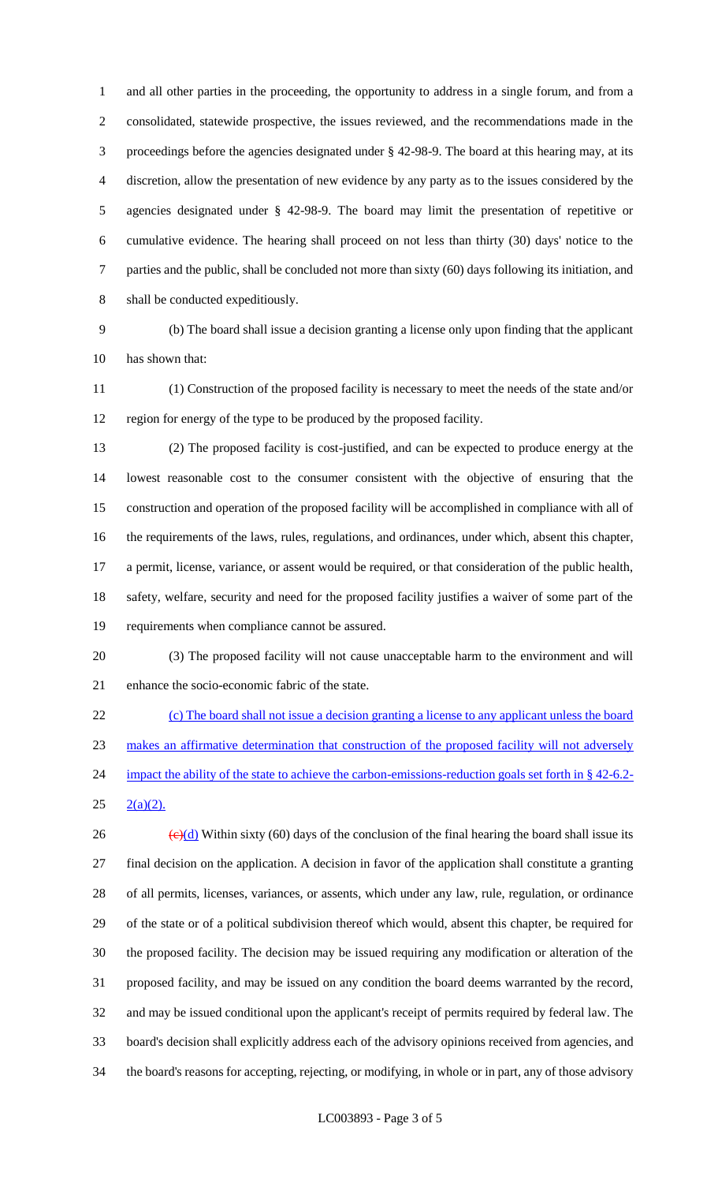and all other parties in the proceeding, the opportunity to address in a single forum, and from a consolidated, statewide prospective, the issues reviewed, and the recommendations made in the proceedings before the agencies designated under § 42-98-9. The board at this hearing may, at its discretion, allow the presentation of new evidence by any party as to the issues considered by the agencies designated under § 42-98-9. The board may limit the presentation of repetitive or cumulative evidence. The hearing shall proceed on not less than thirty (30) days' notice to the parties and the public, shall be concluded not more than sixty (60) days following its initiation, and shall be conducted expeditiously.

 (b) The board shall issue a decision granting a license only upon finding that the applicant has shown that:

 (1) Construction of the proposed facility is necessary to meet the needs of the state and/or region for energy of the type to be produced by the proposed facility.

 (2) The proposed facility is cost-justified, and can be expected to produce energy at the lowest reasonable cost to the consumer consistent with the objective of ensuring that the construction and operation of the proposed facility will be accomplished in compliance with all of the requirements of the laws, rules, regulations, and ordinances, under which, absent this chapter, a permit, license, variance, or assent would be required, or that consideration of the public health, safety, welfare, security and need for the proposed facility justifies a waiver of some part of the requirements when compliance cannot be assured.

 (3) The proposed facility will not cause unacceptable harm to the environment and will enhance the socio-economic fabric of the state.

 (c) The board shall not issue a decision granting a license to any applicant unless the board makes an affirmative determination that construction of the proposed facility will not adversely 24 impact the ability of the state to achieve the carbon-emissions-reduction goals set forth in § 42-6.2- $25 \quad 2(a)(2)$ .

 $\left(\frac{e}{d}\right)$  Within sixty (60) days of the conclusion of the final hearing the board shall issue its final decision on the application. A decision in favor of the application shall constitute a granting of all permits, licenses, variances, or assents, which under any law, rule, regulation, or ordinance of the state or of a political subdivision thereof which would, absent this chapter, be required for the proposed facility. The decision may be issued requiring any modification or alteration of the proposed facility, and may be issued on any condition the board deems warranted by the record, and may be issued conditional upon the applicant's receipt of permits required by federal law. The board's decision shall explicitly address each of the advisory opinions received from agencies, and the board's reasons for accepting, rejecting, or modifying, in whole or in part, any of those advisory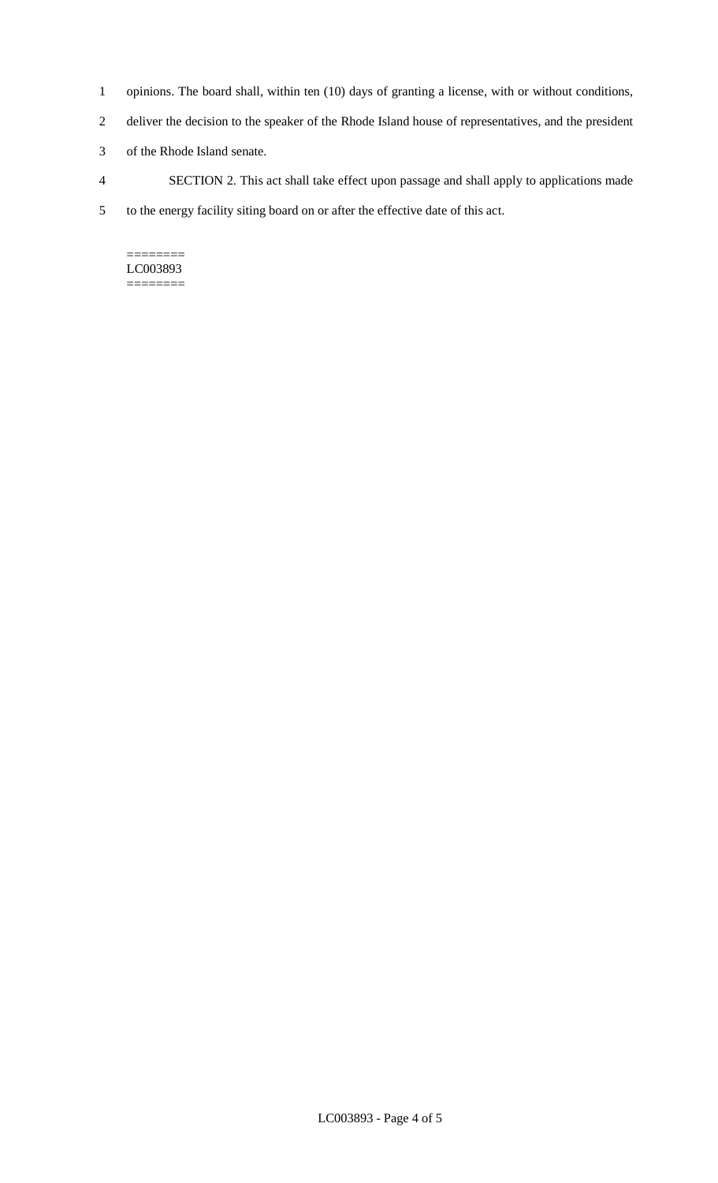- 1 opinions. The board shall, within ten (10) days of granting a license, with or without conditions,
- 2 deliver the decision to the speaker of the Rhode Island house of representatives, and the president
- 3 of the Rhode Island senate.
- 4 SECTION 2. This act shall take effect upon passage and shall apply to applications made
- 5 to the energy facility siting board on or after the effective date of this act.

======== LC003893 ========